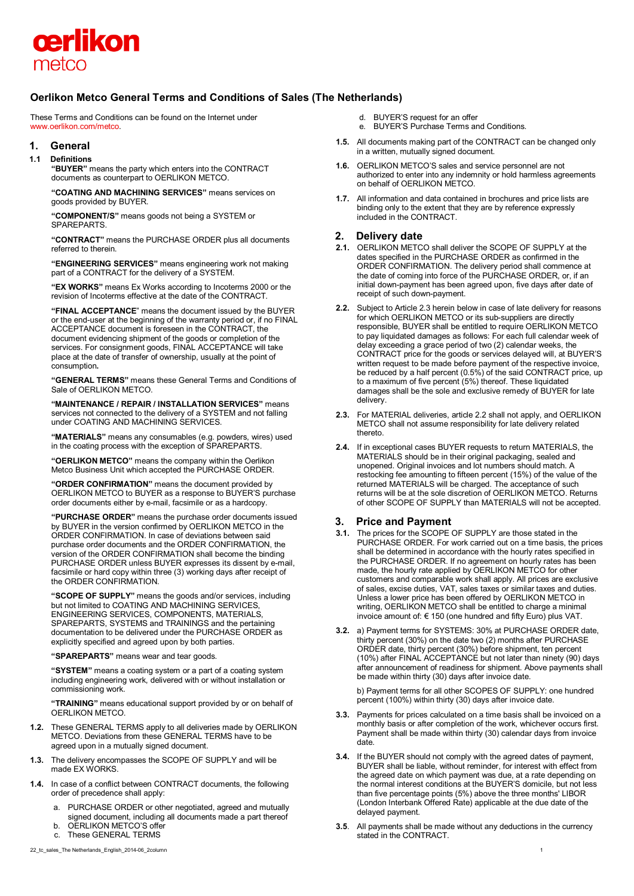

# **Oerlikon Metco General Terms and Conditions of Sales (The Netherlands)**

These Terms and Conditions can be found on the Internet under [www.oerlikon.com/metco.](http://www.oerlikon.com/metco)

## **1. General**

#### **1.1 Definitions**

**"BUYER"** means the party which enters into the CONTRACT documents as counterpart to OERLIKON METCO.

**"COATING AND MACHINING SERVICES"** means services on goods provided by BUYER.

**"COMPONENT/S"** means goods not being a SYSTEM or **SPAREPARTS** 

**"CONTRACT"** means the PURCHASE ORDER plus all documents referred to therein.

**"ENGINEERING SERVICES"** means engineering work not making part of a CONTRACT for the delivery of a SYSTEM.

**"EX WORKS"** means Ex Works according to Incoterms 2000 or the revision of Incoterms effective at the date of the CONTRACT.

**"FINAL ACCEPTANCE**" means the document issued by the BUYER or the end-user at the beginning of the warranty period or, if no FINAL ACCEPTANCE document is foreseen in the CONTRACT, the document evidencing shipment of the goods or completion of the services. For consignment goods, FINAL ACCEPTANCE will take place at the date of transfer of ownership, usually at the point of consumption**.** 

**"GENERAL TERMS"** means these General Terms and Conditions of Sale of OERLIKON METCO.

**"MAINTENANCE / REPAIR / INSTALLATION SERVICES"** means services not connected to the delivery of a SYSTEM and not falling under COATING AND MACHINING SERVICES.

**"MATERIALS"** means any consumables (e.g. powders, wires) used in the coating process with the exception of SPAREPARTS.

**"OERLIKON METCO"** means the company within the Oerlikon Metco Business Unit which accepted the PURCHASE ORDER.

**"ORDER CONFIRMATION"** means the document provided by OERLIKON METCO to BUYER as a response to BUYER'S purchase order documents either by e-mail, facsimile or as a hardcopy.

**"PURCHASE ORDER"** means the purchase order documents issued by BUYER in the version confirmed by OERLIKON METCO in the ORDER CONFIRMATION. In case of deviations between said purchase order documents and the ORDER CONFIRMATION, the version of the ORDER CONFIRMATION shall become the binding PURCHASE ORDER unless BUYER expresses its dissent by e-mail, facsimile or hard copy within three (3) working days after receipt of the ORDER CONFIRMATION.

**"SCOPE OF SUPPLY"** means the goods and/or services, including but not limited to COATING AND MACHINING SERVICES, ENGINEERING SERVICES, COMPONENTS, MATERIALS, SPAREPARTS, SYSTEMS and TRAININGS and the pertaining documentation to be delivered under the PURCHASE ORDER as explicitly specified and agreed upon by both parties.

**"SPAREPARTS"** means wear and tear goods.

**"SYSTEM"** means a coating system or a part of a coating system including engineering work, delivered with or without installation or commissioning work.

**"TRAINING"** means educational support provided by or on behalf of OERLIKON METCO.

- **1.2.** These GENERAL TERMS apply to all deliveries made by OERLIKON METCO. Deviations from these GENERAL TERMS have to be agreed upon in a mutually signed document.
- **1.3.** The delivery encompasses the SCOPE OF SUPPLY and will be made EX WORKS.
- **1.4.** In case of a conflict between CONTRACT documents, the following order of precedence shall apply:
	- a. PURCHASE ORDER or other negotiated, agreed and mutually signed document, including all documents made a part thereof
	- b. OERLIKON METCO'S offer
	- These GENERAL TERMS
- 22\_tc\_sales\_The Netherlands\_English\_2014-06\_2column 1
- d. BUYER'S request for an offer
- e. BUYER'S Purchase Terms and Conditions.
- **1.5.** All documents making part of the CONTRACT can be changed only in a written, mutually signed document.
- **1.6.** OERLIKON METCO'S sales and service personnel are not authorized to enter into any indemnity or hold harmless agreements on behalf of OERLIKON METCO.
- **1.7.** All information and data contained in brochures and price lists are binding only to the extent that they are by reference expressly included in the CONTRACT.

## **2. Delivery date**

- **2.1.** OERLIKON METCO shall deliver the SCOPE OF SUPPLY at the dates specified in the PURCHASE ORDER as confirmed in the ORDER CONFIRMATION. The delivery period shall commence at the date of coming into force of the PURCHASE ORDER, or, if an initial down-payment has been agreed upon, five days after date of receipt of such down-payment.
- **2.2.** Subject to Article 2.3 herein below in case of late delivery for reasons for which OERLIKON METCO or its sub-suppliers are directly responsible, BUYER shall be entitled to require OERLIKON METCO to pay liquidated damages as follows: For each full calendar week of delay exceeding a grace period of two (2) calendar weeks, the CONTRACT price for the goods or services delayed will, at BUYER'S written request to be made before payment of the respective invoice, be reduced by a half percent (0.5%) of the said CONTRACT price, up to a maximum of five percent (5%) thereof. These liquidated damages shall be the sole and exclusive remedy of BUYER for late delivery.
- **2.3.** For MATERIAL deliveries, article 2.2 shall not apply, and OERLIKON METCO shall not assume responsibility for late delivery related thereto.
- **2.4.** If in exceptional cases BUYER requests to return MATERIALS, the MATERIALS should be in their original packaging, sealed and unopened. Original invoices and lot numbers should match. A restocking fee amounting to fifteen percent (15%) of the value of the returned MATERIALS will be charged. The acceptance of such returns will be at the sole discretion of OERLIKON METCO. Returns of other SCOPE OF SUPPLY than MATERIALS will not be accepted.

## **3. Price and Payment**

- **3.1.** The prices for the SCOPE OF SUPPLY are those stated in the PURCHASE ORDER. For work carried out on a time basis, the prices shall be determined in accordance with the hourly rates specified in the PURCHASE ORDER. If no agreement on hourly rates has been made, the hourly rate applied by OERLIKON METCO for other customers and comparable work shall apply. All prices are exclusive of sales, excise duties, VAT, sales taxes or similar taxes and duties. Unless a lower price has been offered by OERLIKON METCO in writing, OERLIKON METCO shall be entitled to charge a minimal invoice amount of: € 150 (one hundred and fifty Euro) plus VAT.
- **3.2.** a) Payment terms for SYSTEMS: 30% at PURCHASE ORDER date, thirty percent (30%) on the date two (2) months after PURCHASE ORDER date, thirty percent (30%) before shipment, ten percent (10%) after FINAL ACCEPTANCE but not later than ninety (90) days after announcement of readiness for shipment. Above payments shall be made within thirty (30) days after invoice date.

b) Payment terms for all other SCOPES OF SUPPLY: one hundred percent (100%) within thirty (30) days after invoice date.

- **3.3.** Payments for prices calculated on a time basis shall be invoiced on a monthly basis or after completion of the work, whichever occurs first. Payment shall be made within thirty (30) calendar days from invoice date.
- **3.4.** If the BUYER should not comply with the agreed dates of payment, BUYER shall be liable, without reminder, for interest with effect from the agreed date on which payment was due, at a rate depending on the normal interest conditions at the BUYER'S domicile, but not less than five percentage points (5%) above the three months' LIBOR (London Interbank Offered Rate) applicable at the due date of the delayed payment.
- **3.5**. All payments shall be made without any deductions in the currency stated in the CONTRACT.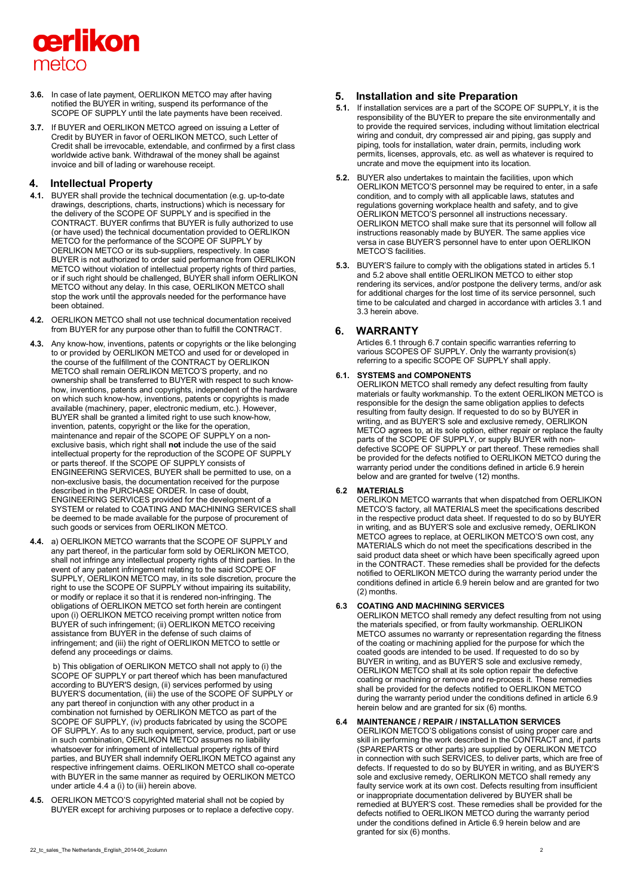# cerlikon metco

- **3.6.** In case of late payment, OERLIKON METCO may after having notified the BUYER in writing, suspend its performance of the SCOPE OF SUPPLY until the late payments have been received.
- **3.7.** If BUYER and OERLIKON METCO agreed on issuing a Letter of Credit by BUYER in favor of OERLIKON METCO, such Letter of Credit shall be irrevocable, extendable, and confirmed by a first class worldwide active bank. Withdrawal of the money shall be against invoice and bill of lading or warehouse receipt.

# **4. Intellectual Property**

- **4.1.** BUYER shall provide the technical documentation (e.g. up-to-date drawings, descriptions, charts, instructions) which is necessary for the delivery of the SCOPE OF SUPPLY and is specified in the CONTRACT. BUYER confirms that BUYER is fully authorized to use (or have used) the technical documentation provided to OERLIKON METCO for the performance of the SCOPE OF SUPPLY by OERLIKON METCO or its sub-suppliers, respectively. In case BUYER is not authorized to order said performance from OERLIKON METCO without violation of intellectual property rights of third parties, or if such right should be challenged, BUYER shall inform OERLIKON METCO without any delay. In this case, OERLIKON METCO shall stop the work until the approvals needed for the performance have been obtained.
- **4.2.** OERLIKON METCO shall not use technical documentation received from BUYER for any purpose other than to fulfill the CONTRACT.
- **4.3.** Any know-how, inventions, patents or copyrights or the like belonging to or provided by OERLIKON METCO and used for or developed in the course of the fulfillment of the CONTRACT by OERLIKON METCO shall remain OERLIKON METCO'S property, and no ownership shall be transferred to BUYER with respect to such knowhow, inventions, patents and copyrights, independent of the hardware on which such know-how, inventions, patents or copyrights is made available (machinery, paper, electronic medium, etc.). However, BUYER shall be granted a limited right to use such know-how, invention, patents, copyright or the like for the operation, maintenance and repair of the SCOPE OF SUPPLY on a nonexclusive basis, which right shall **not** include the use of the said intellectual property for the reproduction of the SCOPE OF SUPPLY or parts thereof. If the SCOPE OF SUPPLY consists of ENGINEERING SERVICES, BUYER shall be permitted to use, on a non-exclusive basis, the documentation received for the purpose described in the PURCHASE ORDER. In case of doubt, ENGINEERING SERVICES provided for the development of a SYSTEM or related to COATING AND MACHINING SERVICES shall be deemed to be made available for the purpose of procurement of such goods or services from OERLIKON METCO.
- **4.4.** a) OERLIKON METCO warrants that the SCOPE OF SUPPLY and any part thereof, in the particular form sold by OERLIKON METCO, shall not infringe any intellectual property rights of third parties. In the event of any patent infringement relating to the said SCOPE OF SUPPLY, OERLIKON METCO may, in its sole discretion, procure the right to use the SCOPE OF SUPPLY without impairing its suitability, or modify or replace it so that it is rendered non-infringing. The obligations of OERLIKON METCO set forth herein are contingent upon (i) OERLIKON METCO receiving prompt written notice from BUYER of such infringement; (ii) OERLIKON METCO receiving assistance from BUYER in the defense of such claims of infringement; and (iii) the right of OERLIKON METCO to settle or defend any proceedings or claims.

b) This obligation of OERLIKON METCO shall not apply to (i) the SCOPE OF SUPPLY or part thereof which has been manufactured according to BUYER'S design, (ii) services performed by using BUYER'S documentation, (iii) the use of the SCOPE OF SUPPLY or any part thereof in conjunction with any other product in a combination not furnished by OERLIKON METCO as part of the SCOPE OF SUPPLY, (iv) products fabricated by using the SCOPE OF SUPPLY. As to any such equipment, service, product, part or use in such combination, OERLIKON METCO assumes no liability whatsoever for infringement of intellectual property rights of third parties, and BUYER shall indemnify OERLIKON METCO against any respective infringement claims. OERLIKON METCO shall co-operate with BUYER in the same manner as required by OERLIKON METCO under article 4.4 a (i) to (iii) herein above.

**4.5.** OERLIKON METCO'S copyrighted material shall not be copied by BUYER except for archiving purposes or to replace a defective copy.

# **5. Installation and site Preparation**

- **5.1.** If installation services are a part of the SCOPE OF SUPPLY, it is the responsibility of the BUYER to prepare the site environmentally and to provide the required services, including without limitation electrical wiring and conduit, dry compressed air and piping, gas supply and piping, tools for installation, water drain, permits, including work permits, licenses, approvals, etc. as well as whatever is required to uncrate and move the equipment into its location.
- **5.2.** BUYER also undertakes to maintain the facilities, upon which OERLIKON METCO'S personnel may be required to enter, in a safe condition, and to comply with all applicable laws, statutes and regulations governing workplace health and safety, and to give OERLIKON METCO'S personnel all instructions necessary. OERLIKON METCO shall make sure that its personnel will follow all instructions reasonably made by BUYER. The same applies vice versa in case BUYER'S personnel have to enter upon OERLIKON METCO'S facilities.
- **5.3.** BUYER'S failure to comply with the obligations stated in articles 5.1 and 5.2 above shall entitle OERLIKON METCO to either stop rendering its services, and/or postpone the delivery terms, and/or ask for additional charges for the lost time of its service personnel, such time to be calculated and charged in accordance with articles 3.1 and 3.3 herein above.

# **6. WARRANTY**

Articles 6.1 through 6.7 contain specific warranties referring to various SCOPES OF SUPPLY. Only the warranty provision(s) referring to a specific SCOPE OF SUPPLY shall apply.

## **6.1. SYSTEMS and COMPONENTS**

OERLIKON METCO shall remedy any defect resulting from faulty materials or faulty workmanship. To the extent OERLIKON METCO is responsible for the design the same obligation applies to defects resulting from faulty design. If requested to do so by BUYER in writing, and as BUYER'S sole and exclusive remedy, OERLIKON METCO agrees to, at its sole option, either repair or replace the faulty parts of the SCOPE OF SUPPLY, or supply BUYER with nondefective SCOPE OF SUPPLY or part thereof. These remedies shall be provided for the defects notified to OERLIKON METCO during the warranty period under the conditions defined in article 6.9 herein below and are granted for twelve (12) months.

## **6.2 MATERIALS**

OERLIKON METCO warrants that when dispatched from OERLIKON METCO'S factory, all MATERIALS meet the specifications described in the respective product data sheet. If requested to do so by BUYER in writing, and as BUYER'S sole and exclusive remedy, OERLIKON METCO agrees to replace, at OERLIKON METCO'S own cost, any MATERIALS which do not meet the specifications described in the said product data sheet or which have been specifically agreed upon in the CONTRACT. These remedies shall be provided for the defects notified to OERLIKON METCO during the warranty period under the conditions defined in article 6.9 herein below and are granted for two (2) months.

## **6.3 COATING AND MACHINING SERVICES**

OERLIKON METCO shall remedy any defect resulting from not using the materials specified, or from faulty workmanship. OERLIKON METCO assumes no warranty or representation regarding the fitness of the coating or machining applied for the purpose for which the coated goods are intended to be used. If requested to do so by BUYER in writing, and as BUYER'S sole and exclusive remedy, OERLIKON METCO shall at its sole option repair the defective coating or machining or remove and re-process it. These remedies shall be provided for the defects notified to OERLIKON METCO during the warranty period under the conditions defined in article 6.9 herein below and are granted for six (6) months.

#### **6.4 MAINTENANCE / REPAIR / INSTALLATION SERVICES**

OERLIKON METCO'S obligations consist of using proper care and skill in performing the work described in the CONTRACT and, if parts (SPAREPARTS or other parts) are supplied by OERLIKON METCO in connection with such SERVICES, to deliver parts, which are free of defects. If requested to do so by BUYER in writing, and as BUYER'S sole and exclusive remedy, OERLIKON METCO shall remedy any faulty service work at its own cost. Defects resulting from insufficient or inappropriate documentation delivered by BUYER shall be remedied at BUYER'S cost. These remedies shall be provided for the defects notified to OERLIKON METCO during the warranty period under the conditions defined in Article 6.9 herein below and are granted for six (6) months.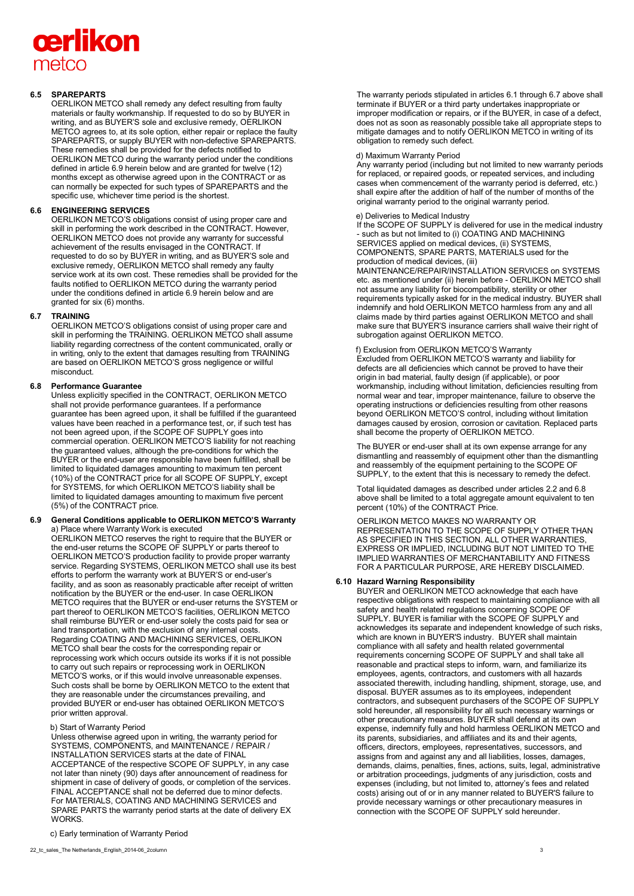# cerlikon metco

## **6.5 SPAREPARTS**

OERLIKON METCO shall remedy any defect resulting from faulty materials or faulty workmanship. If requested to do so by BUYER in writing, and as BUYER'S sole and exclusive remedy, OERLIKON METCO agrees to, at its sole option, either repair or replace the faulty SPAREPARTS, or supply BUYER with non-defective SPAREPARTS. These remedies shall be provided for the defects notified to OERLIKON METCO during the warranty period under the conditions defined in article 6.9 herein below and are granted for twelve (12) months except as otherwise agreed upon in the CONTRACT or as can normally be expected for such types of SPAREPARTS and the specific use, whichever time period is the shortest.

### **6.6 ENGINEERING SERVICES**

OERLIKON METCO'S obligations consist of using proper care and skill in performing the work described in the CONTRACT. However, OERLIKON METCO does not provide any warranty for successful achievement of the results envisaged in the CONTRACT. If requested to do so by BUYER in writing, and as BUYER'S sole and exclusive remedy, OERLIKON METCO shall remedy any faulty service work at its own cost. These remedies shall be provided for the faults notified to OERLIKON METCO during the warranty period under the conditions defined in article 6.9 herein below and are granted for six (6) months.

#### **6.7 TRAINING**

OERLIKON METCO'S obligations consist of using proper care and skill in performing the TRAINING. OERLIKON METCO shall assume liability regarding correctness of the content communicated, orally or in writing, only to the extent that damages resulting from TRAINING are based on OERLIKON METCO'S gross negligence or willful misconduct.

#### **6.8 Performance Guarantee**

Unless explicitly specified in the CONTRACT, OERLIKON METCO shall not provide performance guarantees. If a performance guarantee has been agreed upon, it shall be fulfilled if the guaranteed values have been reached in a performance test, or, if such test has not been agreed upon, if the SCOPE OF SUPPLY goes into commercial operation. OERLIKON METCO'S liability for not reaching the guaranteed values, although the pre-conditions for which the BUYER or the end-user are responsible have been fulfilled, shall be limited to liquidated damages amounting to maximum ten percent (10%) of the CONTRACT price for all SCOPE OF SUPPLY, except for SYSTEMS, for which OERLIKON METCO'S liability shall be limited to liquidated damages amounting to maximum five percent (5%) of the CONTRACT price.

#### **6.9 General Conditions applicable to OERLIKON METCO'S Warranty**  a) Place where Warranty Work is executed

OERLIKON METCO reserves the right to require that the BUYER or the end-user returns the SCOPE OF SUPPLY or parts thereof to OERLIKON METCO'S production facility to provide proper warranty service. Regarding SYSTEMS, OERLIKON METCO shall use its best efforts to perform the warranty work at BUYER'S or end-user's facility, and as soon as reasonably practicable after receipt of written notification by the BUYER or the end-user. In case OERLIKON METCO requires that the BUYER or end-user returns the SYSTEM or part thereof to OERLIKON METCO'S facilities, OERLIKON METCO shall reimburse BUYER or end-user solely the costs paid for sea or land transportation, with the exclusion of any internal costs. Regarding COATING AND MACHINING SERVICES, OERLIKON METCO shall bear the costs for the corresponding repair or reprocessing work which occurs outside its works if it is not possible to carry out such repairs or reprocessing work in OERLIKON METCO'S works, or if this would involve unreasonable expenses. Such costs shall be borne by OERLIKON METCO to the extent that they are reasonable under the circumstances prevailing, and provided BUYER or end-user has obtained OERLIKON METCO'S prior written approval.

#### b) Start of Warranty Period

Unless otherwise agreed upon in writing, the warranty period for SYSTEMS, COMPONENTS, and MAINTENANCE / REPAIR / INSTALLATION SERVICES starts at the date of FINAL ACCEPTANCE of the respective SCOPE OF SUPPLY, in any case not later than ninety (90) days after announcement of readiness for shipment in case of delivery of goods, or completion of the services. FINAL ACCEPTANCE shall not be deferred due to minor defects. For MATERIALS, COATING AND MACHINING SERVICES and SPARE PARTS the warranty period starts at the date of delivery EX WORKS.

The warranty periods stipulated in articles 6.1 through 6.7 above shall terminate if BUYER or a third party undertakes inappropriate or improper modification or repairs, or if the BUYER, in case of a defect, does not as soon as reasonably possible take all appropriate steps to mitigate damages and to notify OERLIKON METCO in writing of its obligation to remedy such defect.

#### d) Maximum Warranty Period

Any warranty period (including but not limited to new warranty periods for replaced, or repaired goods, or repeated services, and including cases when commencement of the warranty period is deferred, etc.) shall expire after the addition of half of the number of months of the original warranty period to the original warranty period.

## e) Deliveries to Medical Industry

If the SCOPE OF SUPPLY is delivered for use in the medical industry - such as but not limited to (i) COATING AND MACHINING SERVICES applied on medical devices, (ii) SYSTEMS, COMPONENTS, SPARE PARTS, MATERIALS used for the production of medical devices, (iii)

MAINTENANCE/REPAIR/INSTALLATION SERVICES on SYSTEMS etc. as mentioned under (ii) herein before - OERLIKON METCO shall not assume any liability for biocompatibility, sterility or other requirements typically asked for in the medical industry. BUYER shall indemnify and hold OERLIKON METCO harmless from any and all claims made by third parties against OERLIKON METCO and shall make sure that BUYER'S insurance carriers shall waive their right of subrogation against OERLIKON METCO.

#### f) Exclusion from OERLIKON METCO'S Warranty

Excluded from OERLIKON METCO'S warranty and liability for defects are all deficiencies which cannot be proved to have their origin in bad material, faulty design (if applicable), or poor workmanship, including without limitation, deficiencies resulting from normal wear and tear, improper maintenance, failure to observe the operating instructions or deficiencies resulting from other reasons beyond OERLIKON METCO'S control, including without limitation damages caused by erosion, corrosion or cavitation. Replaced parts shall become the property of OERLIKON METCO.

The BUYER or end-user shall at its own expense arrange for any dismantling and reassembly of equipment other than the dismantling and reassembly of the equipment pertaining to the SCOPE OF SUPPLY, to the extent that this is necessary to remedy the defect.

Total liquidated damages as described under articles 2.2 and 6.8 above shall be limited to a total aggregate amount equivalent to ten percent (10%) of the CONTRACT Price.

OERLIKON METCO MAKES NO WARRANTY OR REPRESENTATION TO THE SCOPE OF SUPPLY OTHER THAN AS SPECIFIED IN THIS SECTION. ALL OTHER WARRANTIES, EXPRESS OR IMPLIED, INCLUDING BUT NOT LIMITED TO THE IMPLIED WARRANTIES OF MERCHANTABILITY AND FITNESS FOR A PARTICULAR PURPOSE, ARE HEREBY DISCLAIMED.

#### **6.10 Hazard Warning Responsibility**

BUYER and OERLIKON METCO acknowledge that each have respective obligations with respect to maintaining compliance with all safety and health related regulations concerning SCOPE OF SUPPLY. BUYER is familiar with the SCOPE OF SUPPLY and acknowledges its separate and independent knowledge of such risks, which are known in BUYER'S industry. BUYER shall maintain compliance with all safety and health related governmental requirements concerning SCOPE OF SUPPLY and shall take all reasonable and practical steps to inform, warn, and familiarize its employees, agents, contractors, and customers with all hazards associated therewith, including handling, shipment, storage, use, and disposal. BUYER assumes as to its employees, independent contractors, and subsequent purchasers of the SCOPE OF SUPPLY sold hereunder, all responsibility for all such necessary warnings or other precautionary measures. BUYER shall defend at its own expense, indemnify fully and hold harmless OERLIKON METCO and its parents, subsidiaries, and affiliates and its and their agents, officers, directors, employees, representatives, successors, and assigns from and against any and all liabilities, losses, damages, demands, claims, penalties, fines, actions, suits, legal, administrative or arbitration proceedings, judgments of any jurisdiction, costs and expenses (including, but not limited to, attorney's fees and related costs) arising out of or in any manner related to BUYER'S failure to provide necessary warnings or other precautionary measures in connection with the SCOPE OF SUPPLY sold hereunder.

c) Early termination of Warranty Period